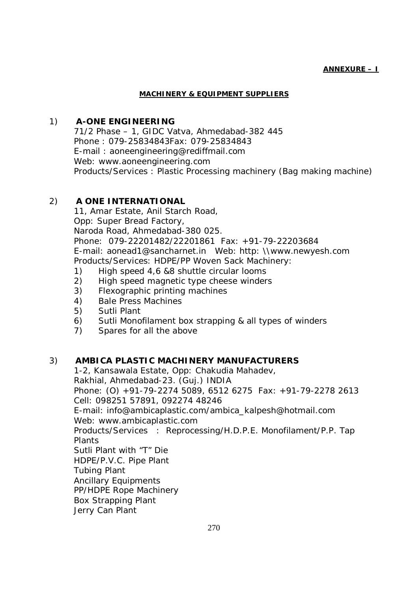#### **ANNEXURE – I**

#### **MACHINERY & EQUIPMENT SUPPLIERS**

## 1) **A-ONE ENGINEERING**

71/2 Phase – 1, GIDC Vatva, Ahmedabad-382 445 Phone : 079-25834843Fax: 079-25834843 E-mail : aoneengineering@rediffmail.com Web: www.aoneengineering.com Products/Services : Plastic Processing machinery (Bag making machine)

## 2) **A ONE INTERNATIONAL**

11, Amar Estate, Anil Starch Road, Opp: Super Bread Factory, Naroda Road, Ahmedabad-380 025. Phone: 079-22201482/22201861 Fax: +91-79-22203684 E-mail: aonead1@sancharnet.in Web: http: \\www.newyesh.com Products/Services: HDPE/PP Woven Sack Machinery:

- 1) High speed 4,6 &8 shuttle circular looms
- 2) High speed magnetic type cheese winders
- 3) Flexographic printing machines
- 4) Bale Press Machines
- 5) Sutli Plant
- 6) Sutli Monofilament box strapping & all types of winders
- 7) Spares for all the above

### 3) **AMBICA PLASTIC MACHINERY MANUFACTURERS**

1-2, Kansawala Estate, Opp: Chakudia Mahadev, Rakhial, Ahmedabad-23. (Guj.) INDIA Phone: (O) +91-79-2274 5089, 6512 6275 Fax: +91-79-2278 2613 Cell: 098251 57891, 092274 48246 E-mail: info@ambicaplastic.com/ambica\_kalpesh@hotmail.com

Web: www.ambicaplastic.com

Products/Services : Reprocessing/H.D.P.E. Monofilament/P.P. Tap Plants

Sutli Plant with "T" Die

HDPE/P.V.C. Pipe Plant

Tubing Plant

Ancillary Equipments

PP/HDPE Rope Machinery

- Box Strapping Plant
- Jerry Can Plant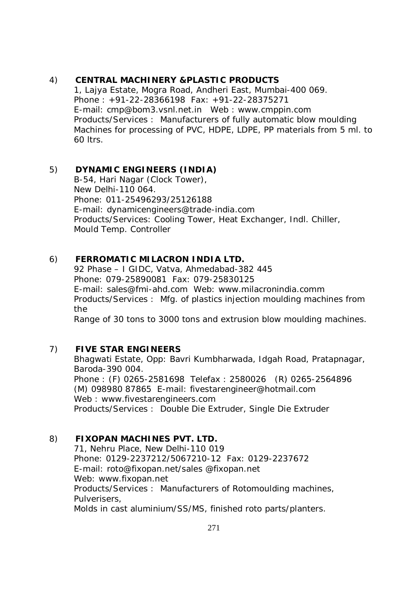## 4) **CENTRAL MACHINERY &PLASTIC PRODUCTS**

1, Lajya Estate, Mogra Road, Andheri East, Mumbai-400 069. Phone : +91-22-28366198 Fax: +91-22-28375271 E-mail: cmp@bom3.vsnl.net.in Web : www.cmppin.com Products/Services : Manufacturers of fully automatic blow moulding Machines for processing of PVC, HDPE, LDPE, PP materials from 5 ml. to 60 ltrs.

# 5) **DYNAMIC ENGINEERS (INDIA)**

B-54, Hari Nagar (Clock Tower), New Delhi-110 064. Phone: 011-25496293/25126188 E-mail: dynamicengineers@trade-india.com Products/Services: Cooling Tower, Heat Exchanger, Indl. Chiller, Mould Temp. Controller

## 6) **FERROMATIC MILACRON INDIA LTD.**

92 Phase – I GIDC, Vatva, Ahmedabad-382 445 Phone: 079-25890081 Fax: 079-25830125 E-mail: sales@fmi-ahd.com Web: www.milacronindia.comm Products/Services : Mfg. of plastics injection moulding machines from the

Range of 30 tons to 3000 tons and extrusion blow moulding machines.

# 7) **FIVE STAR ENGINEERS**

Bhagwati Estate, Opp: Bavri Kumbharwada, Idgah Road, Pratapnagar, Baroda-390 004. Phone : (F) 0265-2581698 Telefax : 2580026 (R) 0265-2564896 (M) 098980 87865 E-mail: fivestarengineer@hotmail.com Web : www.fivestarengineers.com Products/Services : Double Die Extruder, Single Die Extruder

### 8) **FIXOPAN MACHINES PVT. LTD.**

71, Nehru Place, New Delhi-110 019 Phone: 0129-2237212/5067210-12 Fax: 0129-2237672 E-mail: roto@fixopan.net/sales @fixopan.net Web: www.fixopan.net Products/Services : Manufacturers of Rotomoulding machines, Pulverisers, Molds in cast aluminium/SS/MS, finished roto parts/planters.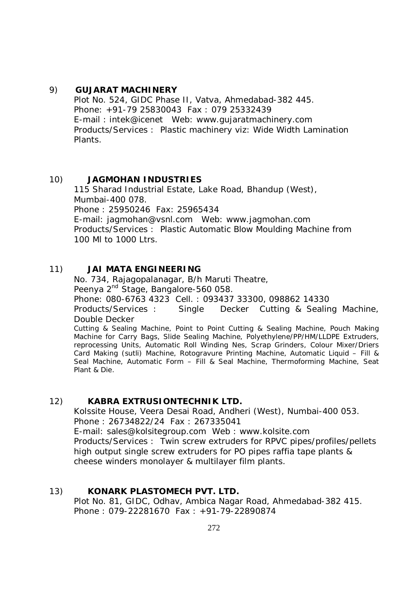#### 9) **GUJARAT MACHINERY**

Plot No. 524, GIDC Phase II, Vatva, Ahmedabad-382 445. Phone: +91-79 25830043 Fax : 079 25332439 E-mail : intek@icenet Web: www.gujaratmachinery.com Products/Services : Plastic machinery viz: Wide Width Lamination Plants.

### 10) **JAGMOHAN INDUSTRIES**

115 Sharad Industrial Estate, Lake Road, Bhandup (West), Mumbai-400 078. Phone : 25950246 Fax: 25965434 E-mail: jagmohan@vsnl.com Web: www.jagmohan.com Products/Services : Plastic Automatic Blow Moulding Machine from 100 Ml to 1000 Ltrs.

### 11) **JAI MATA ENGINEERING**

Plant & Die.

No. 734, Rajagopalanagar, B/h Maruti Theatre, Peenya 2<sup>nd</sup> Stage, Bangalore-560 058. Phone: 080-6763 4323 Cell. : 093437 33300, 098862 14330 Products/Services : Single Decker Cutting & Sealing Machine, Double Decker Cutting & Sealing Machine, Point to Point Cutting & Sealing Machine, Pouch Making Machine for Carry Bags, Slide Sealing Machine, Polyethylene/PP/HM/LLDPE Extruders, reprocessing Units, Automatic Roll Winding Nes, Scrap Grinders, Colour Mixer/Driers Card Making (sutli) Machine, Rotogravure Printing Machine, Automatic Liquid – Fill & Seal Machine, Automatic Form – Fill & Seal Machine, Thermoforming Machine, Seat

#### 12) **KABRA EXTRUSIONTECHNIK LTD.**

Kolssite House, Veera Desai Road, Andheri (West), Numbai-400 053. Phone : 26734822/24 Fax : 267335041 E-mail: sales@kolsitegroup.com Web : www.kolsite.com Products/Services : Twin screw extruders for RPVC pipes/profiles/pellets high output single screw extruders for PO pipes raffia tape plants & cheese winders monolayer & multilayer film plants.

### 13) **KONARK PLASTOMECH PVT. LTD.**

Plot No. 81, GIDC, Odhav, Ambica Nagar Road, Ahmedabad-382 415. Phone : 079-22281670 Fax : +91-79-22890874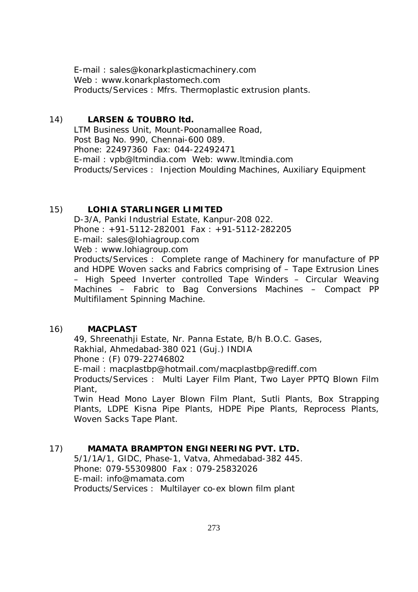E-mail : sales@konarkplasticmachinery.com Web : www.konarkplastomech.com Products/Services : Mfrs. Thermoplastic extrusion plants.

## 14) **LARSEN & TOUBRO ltd.**

LTM Business Unit, Mount-Poonamallee Road, Post Bag No. 990, Chennai-600 089. Phone: 22497360 Fax: 044-22492471 E-mail : vpb@ltmindia.com Web: www.ltmindia.com Products/Services : Injection Moulding Machines, Auxiliary Equipment

### 15) **LOHIA STARLINGER LIMITED**

D-3/A, Panki Industrial Estate, Kanpur-208 022. Phone : +91-5112-282001 Fax : +91-5112-282205 E-mail: sales@lohiagroup.com Web : www.lohiagroup.com Products/Services : Complete range of Machinery for manufacture of PP and HDPE Woven sacks and Fabrics comprising of – Tape Extrusion Lines – High Speed Inverter controlled Tape Winders – Circular Weaving Machines – Fabric to Bag Conversions Machines – Compact PP Multifilament Spinning Machine.

### 16) **MACPLAST**

49, Shreenathji Estate, Nr. Panna Estate, B/h B.O.C. Gases, Rakhial, Ahmedabad-380 021 (Guj.) INDIA Phone : (F) 079-22746802 E-mail : macplastbp@hotmail.com/macplastbp@rediff.com Products/Services : Multi Layer Film Plant, Two Layer PPTQ Blown Film

Plant, Twin Head Mono Layer Blown Film Plant, Sutli Plants, Box Strapping

Plants, LDPE Kisna Pipe Plants, HDPE Pipe Plants, Reprocess Plants, Woven Sacks Tape Plant.

# 17) **MAMATA BRAMPTON ENGINEERING PVT. LTD.**

5/1/1A/1, GIDC, Phase-1, Vatva, Ahmedabad-382 445. Phone: 079-55309800 Fax : 079-25832026 E-mail: info@mamata.com Products/Services : Multilayer co-ex blown film plant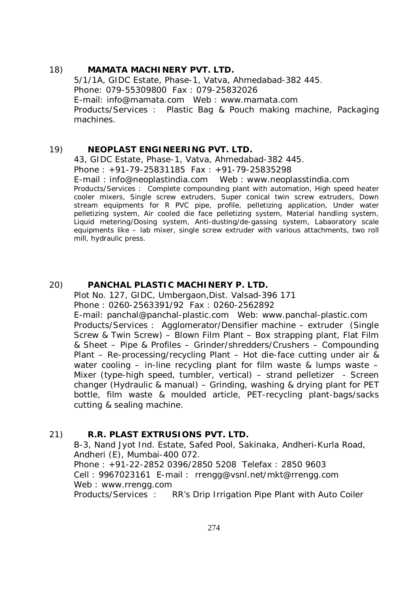## 18) **MAMATA MACHINERY PVT. LTD.** 5/1/1A, GIDC Estate, Phase-1, Vatva, Ahmedabad-382 445. Phone: 079-55309800 Fax : 079-25832026 E-mail: info@mamata.com Web : www.mamata.com Products/Services : Plastic Bag & Pouch making machine, Packaging machines.

### 19) **NEOPLAST ENGINEERING PVT. LTD.**

43, GIDC Estate, Phase-1, Vatva, Ahmedabad-382 445. Phone : +91-79-25831185 Fax : +91-79-25835298 E-mail : info@neoplastindia.com Web : www.neoplasstindia.com Products/Services : Complete compounding plant with automation, High speed heater cooler mixers, Single screw extruders, Super conical twin screw extruders, Down stream equipments for R PVC pipe, profile, pelletizing application, Under water pelletizing system, Air cooled die face pelletizing system, Material handling system, Liquid metering/Dosing system, Anti-dusting/de-gassing system, Labaoratory scale equipments like – lab mixer, single screw extruder with various attachments, two roll mill, hydraulic press.

#### 20) **PANCHAL PLASTIC MACHINERY P. LTD.**

Plot No. 127, GIDC, Umbergaon,Dist. Valsad-396 171 Phone : 0260-2563391/92 Fax : 0260-2562892 E-mail: panchal@panchal-plastic.com Web: www.panchal-plastic.com Products/Services : Agglomerator/Densifier machine – extruder (Single Screw & Twin Screw) – Blown Film Plant – Box strapping plant, Flat Film & Sheet – Pipe & Profiles – Grinder/shredders/Crushers – Compounding Plant – Re-processing/recycling Plant – Hot die-face cutting under air & water cooling  $-$  in-line recycling plant for film waste & lumps waste  $-$ Mixer (type-high speed, tumbler, vertical) – strand pelletizer - Screen changer (Hydraulic & manual) – Grinding, washing & drying plant for PET bottle, film waste & moulded article, PET-recycling plant-bags/sacks

### 21) **R.R. PLAST EXTRUSIONS PVT. LTD.**

cutting & sealing machine.

B-3, Nand Jyot Ind. Estate, Safed Pool, Sakinaka, Andheri-Kurla Road, Andheri (E), Mumbai-400 072. Phone : +91-22-2852 0396/2850 5208 Telefax : 2850 9603 Cell : 9967023161 E-mail : rrengg@vsnl.net/mkt@rrengg.com Web : www.rrengg.com Products/Services : RR's Drip Irrigation Pipe Plant with Auto Coiler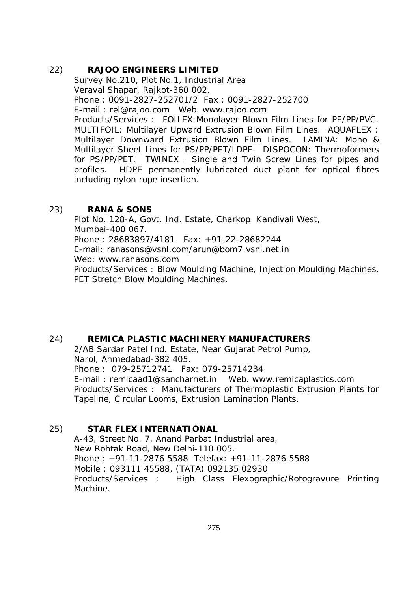### 22) **RAJOO ENGINEERS LIMITED**

Survey No.210, Plot No.1, Industrial Area Veraval Shapar, Rajkot-360 002. Phone : 0091-2827-252701/2 Fax : 0091-2827-252700 E-mail : rel@rajoo.com Web. www.rajoo.com Products/Services : FOILEX:Monolayer Blown Film Lines for PE/PP/PVC. MULTIFOIL: Multilayer Upward Extrusion Blown Film Lines. AQUAFLEX : Multilayer Downward Extrusion Blown Film Lines. LAMINA: Mono & Multilayer Sheet Lines for PS/PP/PET/LDPE. DISPOCON: Thermoformers for PS/PP/PET. TWINEX : Single and Twin Screw Lines for pipes and profiles. HDPE permanently lubricated duct plant for optical fibres including nylon rope insertion.

### 23) **RANA & SONS**

Plot No. 128-A, Govt. Ind. Estate, Charkop Kandivali West, Mumbai-400 067. Phone : 28683897/4181 Fax: +91-22-28682244 E-mail: ranasons@vsnl.com/arun@bom7.vsnl.net.in Web: www.ranasons.com Products/Services : Blow Moulding Machine, Injection Moulding Machines, PET Stretch Blow Moulding Machines.

### 24) **REMICA PLASTIC MACHINERY MANUFACTURERS**

2/AB Sardar Patel Ind. Estate, Near Gujarat Petrol Pump, Narol, Ahmedabad-382 405. Phone : 079-25712741 Fax: 079-25714234 E-mail : remicaad1@sancharnet.in Web. www.remicaplastics.com Products/Services : Manufacturers of Thermoplastic Extrusion Plants for Tapeline, Circular Looms, Extrusion Lamination Plants.

### 25) **STAR FLEX INTERNATIONAL**

A-43, Street No. 7, Anand Parbat Industrial area, New Rohtak Road, New Delhi-110 005. Phone : +91-11-2876 5588 Telefax: +91-11-2876 5588 Mobile : 093111 45588, (TATA) 092135 02930 Products/Services : High Class Flexographic/Rotogravure Printing Machine.